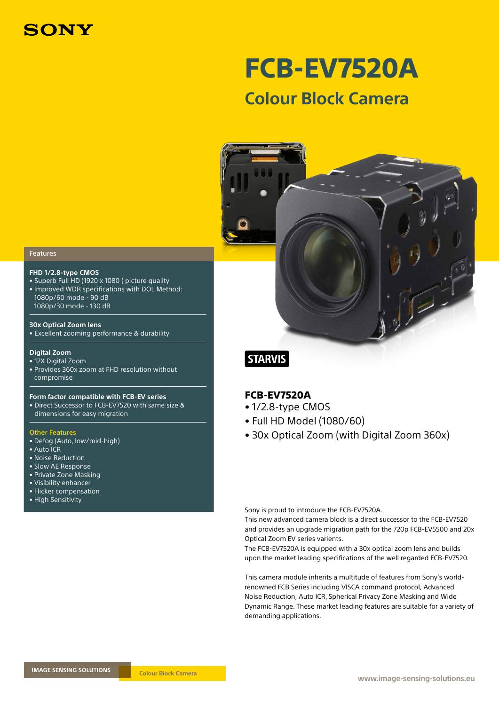

FCB-EV7520A **Colour Block Camera**

### Features

### **FHD 1/2.8-type CMOS**

• Superb Full HD (1920 x 1080 ) picture quality • Improved WDR specifications with DOL Method: 1080p/60 mode - 90 dB 1080p/30 mode - 130 dB

#### **30x Optical Zoom lens**

• Excellent zooming performance & durability

#### **Digital Zoom**

#### • 12X Digital Zoom

• Provides 360x zoom at FHD resolution without compromise

#### **Form factor compatible with FCB-EV series**

• Direct Successor to FCB-EV7520 with same size & dimensions for easy migration

#### Other Features

- Defog (Auto, low/mid-high)
- Auto ICR
- Noise Reduction
- Slow AE Response
- Private Zone Masking
- Visibility enhancer • Flicker compensation
- High Sensitivity

# **STARVIS**

## FCB-EV7520A

- 1/2.8-type CMOS
- Full HD Model (1080/60)
- 30x Optical Zoom (with Digital Zoom 360x)

Sony is proud to introduce the FCB-EV7520A.

This new advanced camera block is a direct successor to the FCB-EV7520 and provides an upgrade migration path for the 720p FCB-EV5500 and 20x Optical Zoom EV series varients.

The FCB-EV7520A is equipped with a 30x optical zoom lens and builds upon the market leading specifications of the well regarded FCB-EV7520.

This camera module inherits a multitude of features from Sony's worldrenowned FCB Series including VISCA command protocol, Advanced Noise Reduction, Auto ICR, Spherical Privacy Zone Masking and Wide Dynamic Range. These market leading features are suitable for a variety of demanding applications.